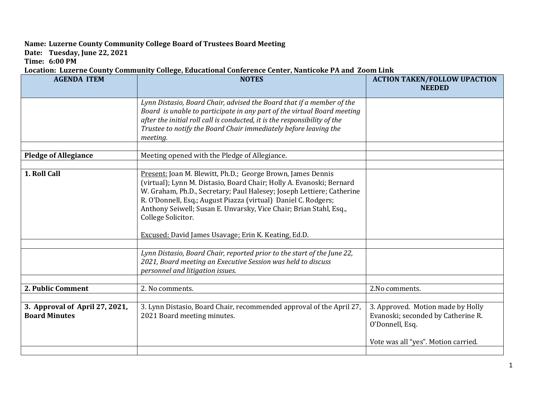## **Name: Luzerne County Community College Board of Trustees Board Meeting**

**Date: Tuesday, June 22, 2021**

**Time: 6:00 PM**

## **Location: Luzerne County Community College, Educational Conference Center, Nanticoke PA and Zoom Link**

| <b>AGENDA ITEM</b>             | <b>NOTES</b>                                                                                                                                                                                                 | <b>ACTION TAKEN/FOLLOW UPACTION</b><br><b>NEEDED</b> |
|--------------------------------|--------------------------------------------------------------------------------------------------------------------------------------------------------------------------------------------------------------|------------------------------------------------------|
|                                |                                                                                                                                                                                                              |                                                      |
|                                | Lynn Distasio, Board Chair, advised the Board that if a member of the<br>Board is unable to participate in any part of the virtual Board meeting                                                             |                                                      |
|                                | after the initial roll call is conducted, it is the responsibility of the                                                                                                                                    |                                                      |
|                                | Trustee to notify the Board Chair immediately before leaving the                                                                                                                                             |                                                      |
|                                | meeting.                                                                                                                                                                                                     |                                                      |
|                                |                                                                                                                                                                                                              |                                                      |
| <b>Pledge of Allegiance</b>    | Meeting opened with the Pledge of Allegiance.                                                                                                                                                                |                                                      |
|                                |                                                                                                                                                                                                              |                                                      |
| 1. Roll Call                   | Present: Joan M. Blewitt, Ph.D.; George Brown, James Dennis<br>(virtual); Lynn M. Distasio, Board Chair; Holly A. Evanoski; Bernard<br>W. Graham, Ph.D., Secretary; Paul Halesey; Joseph Lettiere; Catherine |                                                      |
|                                | R. O'Donnell, Esq.; August Piazza (virtual) Daniel C. Rodgers;                                                                                                                                               |                                                      |
|                                | Anthony Seiwell; Susan E. Unvarsky, Vice Chair; Brian Stahl, Esq.,                                                                                                                                           |                                                      |
|                                | College Solicitor.                                                                                                                                                                                           |                                                      |
|                                |                                                                                                                                                                                                              |                                                      |
|                                | Excused: David James Usavage; Erin K. Keating, Ed.D.                                                                                                                                                         |                                                      |
|                                |                                                                                                                                                                                                              |                                                      |
|                                | Lynn Distasio, Board Chair, reported prior to the start of the June 22,<br>2021, Board meeting an Executive Session was held to discuss<br>personnel and litigation issues.                                  |                                                      |
|                                |                                                                                                                                                                                                              |                                                      |
| 2. Public Comment              | 2. No comments.                                                                                                                                                                                              | 2. No comments.                                      |
|                                |                                                                                                                                                                                                              |                                                      |
| 3. Approval of April 27, 2021, | 3. Lynn Distasio, Board Chair, recommended approval of the April 27,                                                                                                                                         | 3. Approved. Motion made by Holly                    |
| <b>Board Minutes</b>           | 2021 Board meeting minutes.                                                                                                                                                                                  | Evanoski; seconded by Catherine R.                   |
|                                |                                                                                                                                                                                                              | O'Donnell, Esq.                                      |
|                                |                                                                                                                                                                                                              | Vote was all "yes". Motion carried.                  |
|                                |                                                                                                                                                                                                              |                                                      |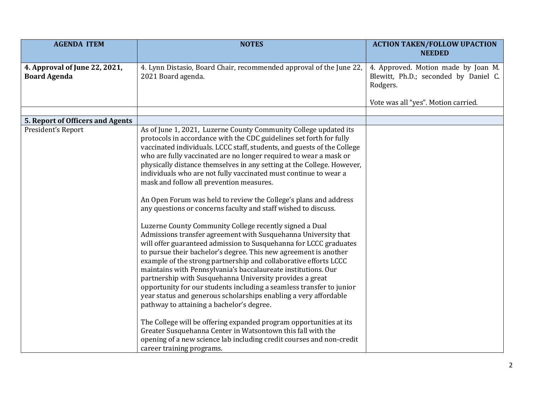| <b>AGENDA ITEM</b>                                   | <b>NOTES</b>                                                                                                                      | <b>ACTION TAKEN/FOLLOW UPACTION</b>                                                      |
|------------------------------------------------------|-----------------------------------------------------------------------------------------------------------------------------------|------------------------------------------------------------------------------------------|
|                                                      |                                                                                                                                   | <b>NEEDED</b>                                                                            |
| 4. Approval of June 22, 2021,<br><b>Board Agenda</b> | 4. Lynn Distasio, Board Chair, recommended approval of the June 22,<br>2021 Board agenda.                                         | 4. Approved. Motion made by Joan M.<br>Blewitt, Ph.D.; seconded by Daniel C.<br>Rodgers. |
|                                                      |                                                                                                                                   | Vote was all "yes". Motion carried.                                                      |
| 5. Report of Officers and Agents                     |                                                                                                                                   |                                                                                          |
| President's Report                                   | As of June 1, 2021, Luzerne County Community College updated its                                                                  |                                                                                          |
|                                                      | protocols in accordance with the CDC guidelines set forth for fully                                                               |                                                                                          |
|                                                      | vaccinated individuals. LCCC staff, students, and guests of the College                                                           |                                                                                          |
|                                                      | who are fully vaccinated are no longer required to wear a mask or                                                                 |                                                                                          |
|                                                      | physically distance themselves in any setting at the College. However,                                                            |                                                                                          |
|                                                      | individuals who are not fully vaccinated must continue to wear a                                                                  |                                                                                          |
|                                                      | mask and follow all prevention measures.                                                                                          |                                                                                          |
|                                                      | An Open Forum was held to review the College's plans and address                                                                  |                                                                                          |
|                                                      | any questions or concerns faculty and staff wished to discuss.                                                                    |                                                                                          |
|                                                      | Luzerne County Community College recently signed a Dual                                                                           |                                                                                          |
|                                                      | Admissions transfer agreement with Susquehanna University that                                                                    |                                                                                          |
|                                                      | will offer guaranteed admission to Susquehanna for LCCC graduates                                                                 |                                                                                          |
|                                                      | to pursue their bachelor's degree. This new agreement is another                                                                  |                                                                                          |
|                                                      | example of the strong partnership and collaborative efforts LCCC<br>maintains with Pennsylvania's baccalaureate institutions. Our |                                                                                          |
|                                                      | partnership with Susquehanna University provides a great                                                                          |                                                                                          |
|                                                      | opportunity for our students including a seamless transfer to junior                                                              |                                                                                          |
|                                                      | year status and generous scholarships enabling a very affordable                                                                  |                                                                                          |
|                                                      | pathway to attaining a bachelor's degree.                                                                                         |                                                                                          |
|                                                      |                                                                                                                                   |                                                                                          |
|                                                      | The College will be offering expanded program opportunities at its                                                                |                                                                                          |
|                                                      | Greater Susquehanna Center in Watsontown this fall with the                                                                       |                                                                                          |
|                                                      | opening of a new science lab including credit courses and non-credit                                                              |                                                                                          |
|                                                      | career training programs.                                                                                                         |                                                                                          |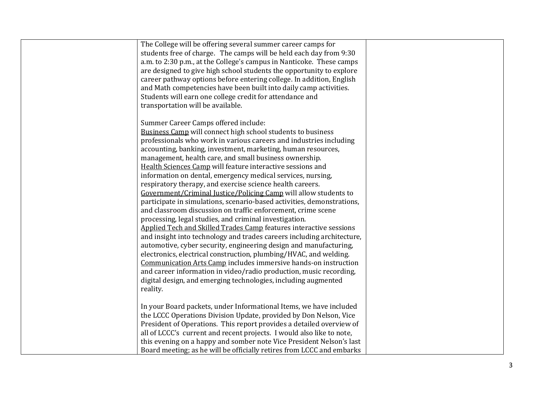| The College will be offering several summer career camps for           |  |
|------------------------------------------------------------------------|--|
| students free of charge. The camps will be held each day from 9:30     |  |
| a.m. to 2:30 p.m., at the College's campus in Nanticoke. These camps   |  |
| are designed to give high school students the opportunity to explore   |  |
| career pathway options before entering college. In addition, English   |  |
| and Math competencies have been built into daily camp activities.      |  |
| Students will earn one college credit for attendance and               |  |
| transportation will be available.                                      |  |
|                                                                        |  |
| Summer Career Camps offered include:                                   |  |
| <b>Business Camp will connect high school students to business</b>     |  |
| professionals who work in various careers and industries including     |  |
| accounting, banking, investment, marketing, human resources,           |  |
| management, health care, and small business ownership.                 |  |
| Health Sciences Camp will feature interactive sessions and             |  |
| information on dental, emergency medical services, nursing,            |  |
| respiratory therapy, and exercise science health careers.              |  |
| Government/Criminal Justice/Policing Camp will allow students to       |  |
| participate in simulations, scenario-based activities, demonstrations, |  |
| and classroom discussion on traffic enforcement, crime scene           |  |
| processing, legal studies, and criminal investigation.                 |  |
| Applied Tech and Skilled Trades Camp features interactive sessions     |  |
| and insight into technology and trades careers including architecture, |  |
| automotive, cyber security, engineering design and manufacturing,      |  |
| electronics, electrical construction, plumbing/HVAC, and welding.      |  |
| Communication Arts Camp includes immersive hands-on instruction        |  |
| and career information in video/radio production, music recording,     |  |
| digital design, and emerging technologies, including augmented         |  |
| reality.                                                               |  |
|                                                                        |  |
| In your Board packets, under Informational Items, we have included     |  |
| the LCCC Operations Division Update, provided by Don Nelson, Vice      |  |
| President of Operations. This report provides a detailed overview of   |  |
| all of LCCC's current and recent projects. I would also like to note,  |  |
| this evening on a happy and somber note Vice President Nelson's last   |  |
| Board meeting; as he will be officially retires from LCCC and embarks  |  |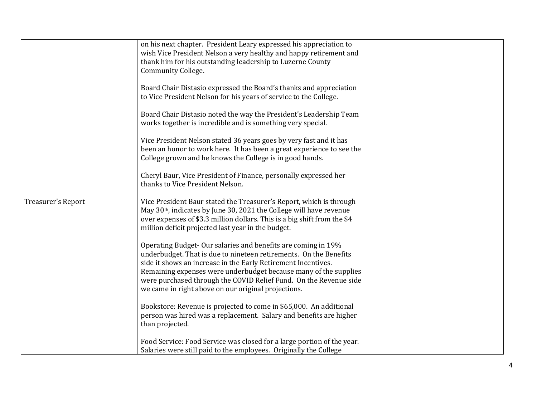|                    | on his next chapter. President Leary expressed his appreciation to<br>wish Vice President Nelson a very healthy and happy retirement and<br>thank him for his outstanding leadership to Luzerne County<br>Community College.                                                                                                                                                                       |  |
|--------------------|----------------------------------------------------------------------------------------------------------------------------------------------------------------------------------------------------------------------------------------------------------------------------------------------------------------------------------------------------------------------------------------------------|--|
|                    | Board Chair Distasio expressed the Board's thanks and appreciation<br>to Vice President Nelson for his years of service to the College.                                                                                                                                                                                                                                                            |  |
|                    | Board Chair Distasio noted the way the President's Leadership Team<br>works together is incredible and is something very special.                                                                                                                                                                                                                                                                  |  |
|                    | Vice President Nelson stated 36 years goes by very fast and it has<br>been an honor to work here. It has been a great experience to see the<br>College grown and he knows the College is in good hands.                                                                                                                                                                                            |  |
|                    | Cheryl Baur, Vice President of Finance, personally expressed her<br>thanks to Vice President Nelson.                                                                                                                                                                                                                                                                                               |  |
| Treasurer's Report | Vice President Baur stated the Treasurer's Report, which is through<br>May 30th, indicates by June 30, 2021 the College will have revenue<br>over expenses of \$3.3 million dollars. This is a big shift from the \$4<br>million deficit projected last year in the budget.                                                                                                                        |  |
|                    | Operating Budget-Our salaries and benefits are coming in 19%<br>underbudget. That is due to nineteen retirements. On the Benefits<br>side it shows an increase in the Early Retirement Incentives.<br>Remaining expenses were underbudget because many of the supplies<br>were purchased through the COVID Relief Fund. On the Revenue side<br>we came in right above on our original projections. |  |
|                    | Bookstore: Revenue is projected to come in \$65,000. An additional<br>person was hired was a replacement. Salary and benefits are higher<br>than projected.                                                                                                                                                                                                                                        |  |
|                    | Food Service: Food Service was closed for a large portion of the year.<br>Salaries were still paid to the employees. Originally the College                                                                                                                                                                                                                                                        |  |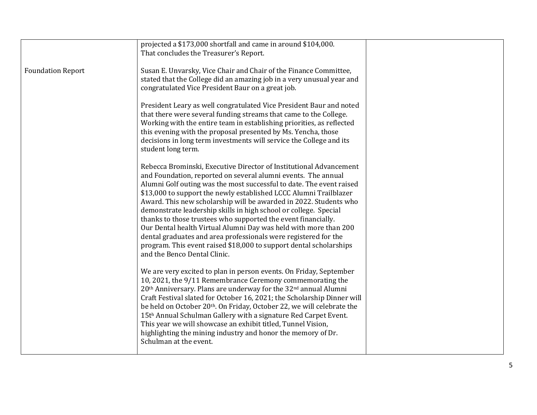|                          | projected a \$173,000 shortfall and came in around \$104,000.<br>That concludes the Treasurer's Report.                                                                                                                                                                                                                                                                                                                                                                                                                                                                                                                                                                                                                                 |  |
|--------------------------|-----------------------------------------------------------------------------------------------------------------------------------------------------------------------------------------------------------------------------------------------------------------------------------------------------------------------------------------------------------------------------------------------------------------------------------------------------------------------------------------------------------------------------------------------------------------------------------------------------------------------------------------------------------------------------------------------------------------------------------------|--|
| <b>Foundation Report</b> | Susan E. Unvarsky, Vice Chair and Chair of the Finance Committee,<br>stated that the College did an amazing job in a very unusual year and<br>congratulated Vice President Baur on a great job.                                                                                                                                                                                                                                                                                                                                                                                                                                                                                                                                         |  |
|                          | President Leary as well congratulated Vice President Baur and noted<br>that there were several funding streams that came to the College.<br>Working with the entire team in establishing priorities, as reflected<br>this evening with the proposal presented by Ms. Yencha, those<br>decisions in long term investments will service the College and its<br>student long term.                                                                                                                                                                                                                                                                                                                                                         |  |
|                          | Rebecca Brominski, Executive Director of Institutional Advancement<br>and Foundation, reported on several alumni events. The annual<br>Alumni Golf outing was the most successful to date. The event raised<br>\$13,000 to support the newly established LCCC Alumni Trailblazer<br>Award. This new scholarship will be awarded in 2022. Students who<br>demonstrate leadership skills in high school or college. Special<br>thanks to those trustees who supported the event financially.<br>Our Dental health Virtual Alumni Day was held with more than 200<br>dental graduates and area professionals were registered for the<br>program. This event raised \$18,000 to support dental scholarships<br>and the Benco Dental Clinic. |  |
|                          | We are very excited to plan in person events. On Friday, September<br>10, 2021, the 9/11 Remembrance Ceremony commemorating the<br>20 <sup>th</sup> Anniversary. Plans are underway for the 32 <sup>nd</sup> annual Alumni<br>Craft Festival slated for October 16, 2021; the Scholarship Dinner will<br>be held on October 20th. On Friday, October 22, we will celebrate the<br>15th Annual Schulman Gallery with a signature Red Carpet Event.<br>This year we will showcase an exhibit titled, Tunnel Vision,<br>highlighting the mining industry and honor the memory of Dr.<br>Schulman at the event.                                                                                                                             |  |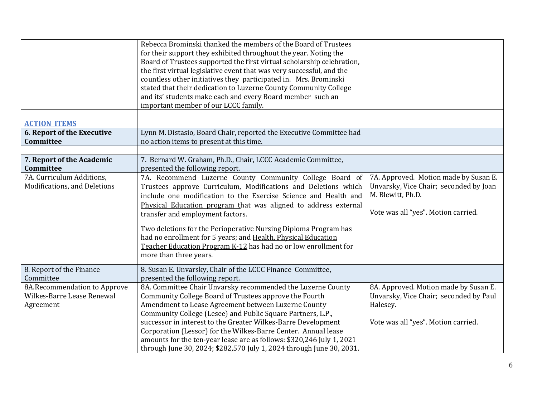|                                                                         | Rebecca Brominski thanked the members of the Board of Trustees<br>for their support they exhibited throughout the year. Noting the<br>Board of Trustees supported the first virtual scholarship celebration,<br>the first virtual legislative event that was very successful, and the<br>countless other initiatives they participated in. Mrs. Brominski<br>stated that their dedication to Luzerne County Community College<br>and its' students make each and every Board member such an<br>important member of our LCCC family.  |                                                                                                                                             |
|-------------------------------------------------------------------------|--------------------------------------------------------------------------------------------------------------------------------------------------------------------------------------------------------------------------------------------------------------------------------------------------------------------------------------------------------------------------------------------------------------------------------------------------------------------------------------------------------------------------------------|---------------------------------------------------------------------------------------------------------------------------------------------|
|                                                                         |                                                                                                                                                                                                                                                                                                                                                                                                                                                                                                                                      |                                                                                                                                             |
| <b>ACTION ITEMS</b><br><b>6. Report of the Executive</b><br>Committee   | Lynn M. Distasio, Board Chair, reported the Executive Committee had<br>no action items to present at this time.                                                                                                                                                                                                                                                                                                                                                                                                                      |                                                                                                                                             |
|                                                                         |                                                                                                                                                                                                                                                                                                                                                                                                                                                                                                                                      |                                                                                                                                             |
| 7. Report of the Academic<br><b>Committee</b>                           | 7. Bernard W. Graham, Ph.D., Chair, LCCC Academic Committee,<br>presented the following report.                                                                                                                                                                                                                                                                                                                                                                                                                                      |                                                                                                                                             |
| 7A. Curriculum Additions,<br>Modifications, and Deletions               | 7A. Recommend Luzerne County Community College Board of<br>Trustees approve Curriculum, Modifications and Deletions which<br>include one modification to the Exercise Science and Health and<br>Physical Education program that was aligned to address external<br>transfer and employment factors.<br>Two deletions for the Perioperative Nursing Diploma Program has<br>had no enrollment for 5 years; and Health, Physical Education<br>Teacher Education Program K-12 has had no or low enrollment for<br>more than three years. | 7A. Approved. Motion made by Susan E.<br>Unvarsky, Vice Chair; seconded by Joan<br>M. Blewitt, Ph.D.<br>Vote was all "yes". Motion carried. |
| 8. Report of the Finance<br>Committee                                   | 8. Susan E. Unvarsky, Chair of the LCCC Finance Committee,<br>presented the following report.                                                                                                                                                                                                                                                                                                                                                                                                                                        |                                                                                                                                             |
| 8A.Recommendation to Approve<br>Wilkes-Barre Lease Renewal<br>Agreement | 8A. Committee Chair Unvarsky recommended the Luzerne County<br>Community College Board of Trustees approve the Fourth<br>Amendment to Lease Agreement between Luzerne County<br>Community College (Lesee) and Public Square Partners, L.P.,<br>successor in interest to the Greater Wilkes-Barre Development<br>Corporation (Lessor) for the Wilkes-Barre Center. Annual lease<br>amounts for the ten-year lease are as follows: \$320,246 July 1, 2021                                                                              | 8A. Approved. Motion made by Susan E.<br>Unvarsky, Vice Chair; seconded by Paul<br>Halesey.<br>Vote was all "yes". Motion carried.          |
|                                                                         | through June 30, 2024; \$282,570 July 1, 2024 through June 30, 2031.                                                                                                                                                                                                                                                                                                                                                                                                                                                                 |                                                                                                                                             |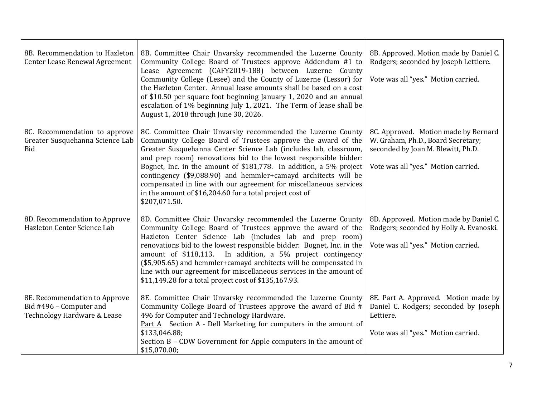| 8B. Recommendation to Hazleton<br>Center Lease Renewal Agreement                        | 8B. Committee Chair Unvarsky recommended the Luzerne County<br>Community College Board of Trustees approve Addendum #1 to<br>Lease Agreement (CAFY2019-188) between Luzerne County<br>Community College (Lesee) and the County of Luzerne (Lessor) for<br>the Hazleton Center. Annual lease amounts shall be based on a cost<br>of \$10.50 per square foot beginning January 1, 2020 and an annual<br>escalation of 1% beginning July 1, 2021. The Term of lease shall be<br>August 1, 2018 through June 30, 2026.                                            | 8B. Approved. Motion made by Daniel C.<br>Rodgers; seconded by Joseph Lettiere.<br>Vote was all "yes." Motion carried.                                  |
|-----------------------------------------------------------------------------------------|---------------------------------------------------------------------------------------------------------------------------------------------------------------------------------------------------------------------------------------------------------------------------------------------------------------------------------------------------------------------------------------------------------------------------------------------------------------------------------------------------------------------------------------------------------------|---------------------------------------------------------------------------------------------------------------------------------------------------------|
| 8C. Recommendation to approve<br>Greater Susquehanna Science Lab<br>Bid                 | 8C. Committee Chair Unvarsky recommended the Luzerne County<br>Community College Board of Trustees approve the award of the<br>Greater Susquehanna Center Science Lab (includes lab, classroom,<br>and prep room) renovations bid to the lowest responsible bidder:<br>Bognet, Inc. in the amount of \$181,778. In addition, a 5% project<br>contingency (\$9,088.90) and hemmler+camayd architects will be<br>compensated in line with our agreement for miscellaneous services<br>in the amount of \$16,204.60 for a total project cost of<br>\$207,071.50. | 8C. Approved. Motion made by Bernard<br>W. Graham, Ph.D., Board Secretary;<br>seconded by Joan M. Blewitt, Ph.D.<br>Vote was all "yes." Motion carried. |
| 8D. Recommendation to Approve<br>Hazleton Center Science Lab                            | 8D. Committee Chair Unvarsky recommended the Luzerne County<br>Community College Board of Trustees approve the award of the<br>Hazleton Center Science Lab (includes lab and prep room)<br>renovations bid to the lowest responsible bidder: Bognet, Inc. in the<br>amount of \$118,113. In addition, a 5% project contingency<br>(\$5,905.65) and hemmler+camayd architects will be compensated in<br>line with our agreement for miscellaneous services in the amount of<br>\$11,149.28 for a total project cost of \$135,167.93.                           | 8D. Approved. Motion made by Daniel C.<br>Rodgers; seconded by Holly A. Evanoski.<br>Vote was all "yes." Motion carried.                                |
| 8E. Recommendation to Approve<br>Bid #496 - Computer and<br>Technology Hardware & Lease | 8E. Committee Chair Unvarsky recommended the Luzerne County<br>Community College Board of Trustees approve the award of Bid #<br>496 for Computer and Technology Hardware.<br>Part A Section A - Dell Marketing for computers in the amount of<br>\$133,046.88;<br>Section B - CDW Government for Apple computers in the amount of<br>\$15,070.00;                                                                                                                                                                                                            | 8E. Part A. Approved. Motion made by<br>Daniel C. Rodgers; seconded by Joseph<br>Lettiere.<br>Vote was all "yes." Motion carried.                       |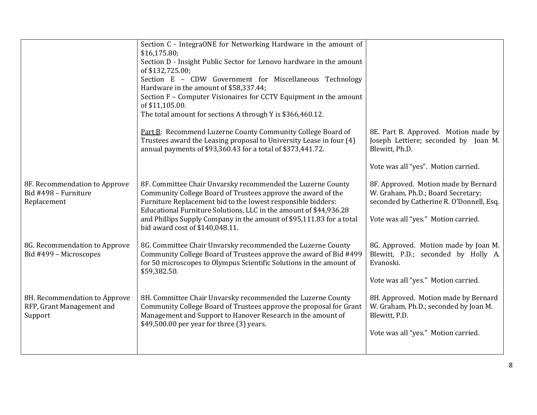|                                                                       | Section C - IntegraONE for Networking Hardware in the amount of<br>\$16,175.80;                                                                                                                                                                                  |                                                                                                                        |
|-----------------------------------------------------------------------|------------------------------------------------------------------------------------------------------------------------------------------------------------------------------------------------------------------------------------------------------------------|------------------------------------------------------------------------------------------------------------------------|
|                                                                       | Section D - Insight Public Sector for Lenovo hardware in the amount                                                                                                                                                                                              |                                                                                                                        |
|                                                                       | of \$132,725.00;                                                                                                                                                                                                                                                 |                                                                                                                        |
|                                                                       | Section E - CDW Government for Miscellaneous Technology<br>Hardware in the amount of \$58,337.44;                                                                                                                                                                |                                                                                                                        |
|                                                                       | Section F - Computer Visionaires for CCTV Equipment in the amount                                                                                                                                                                                                |                                                                                                                        |
|                                                                       | of \$11,105.00.                                                                                                                                                                                                                                                  |                                                                                                                        |
|                                                                       | The total amount for sections A through Y is \$366,460.12.                                                                                                                                                                                                       |                                                                                                                        |
|                                                                       | Part B: Recommend Luzerne County Community College Board of<br>Trustees award the Leasing proposal to University Lease in four (4)<br>annual payments of \$93,360.43 for a total of \$373,441.72.                                                                | 8E. Part B. Approved. Motion made by<br>Joseph Lettiere; seconded by Joan M.<br>Blewitt, Ph.D.                         |
|                                                                       |                                                                                                                                                                                                                                                                  | Vote was all "yes". Motion carried.                                                                                    |
| 8F. Recommendation to Approve<br>Bid #498 - Furniture<br>Replacement  | 8F. Committee Chair Unvarsky recommended the Luzerne County<br>Community College Board of Trustees approve the award of the<br>Furniture Replacement bid to the lowest responsible bidders:<br>Educational Furniture Solutions, LLC in the amount of \$44,936.28 | 8F. Approved. Motion made by Bernard<br>W. Graham, Ph.D.; Board Secretary;<br>seconded by Catherine R. O'Donnell, Esq. |
|                                                                       | and Phillips Supply Company in the amount of \$95,111.83 for a total<br>bid award cost of \$140,048.11.                                                                                                                                                          | Vote was all "yes." Motion carried.                                                                                    |
| 8G. Recommendation to Approve<br>Bid #499 - Microscopes               | 8G. Committee Chair Unvarsky recommended the Luzerne County<br>Community College Board of Trustees approve the award of Bid #499<br>for 50 microscopes to Olympus Scientific Solutions in the amount of<br>\$59,382.50.                                          | 8G. Approved. Motion made by Joan M.<br>Blewitt, P.D.; seconded by Holly A.<br>Evanoski.                               |
|                                                                       |                                                                                                                                                                                                                                                                  | Vote was all "yes." Motion carried.                                                                                    |
| 8H. Recommendation to Approve<br>RFP, Grant Management and<br>Support | 8H. Committee Chair Unvarsky recommended the Luzerne County<br>Community College Board of Trustees approve the proposal for Grant<br>Management and Support to Hanover Research in the amount of<br>\$49,500.00 per year for three (3) years.                    | 8H. Approved. Motion made by Bernard<br>W. Graham, Ph.D.; seconded by Joan M.<br>Blewitt, P.D.                         |
|                                                                       |                                                                                                                                                                                                                                                                  | Vote was all "yes." Motion carried.                                                                                    |
|                                                                       |                                                                                                                                                                                                                                                                  |                                                                                                                        |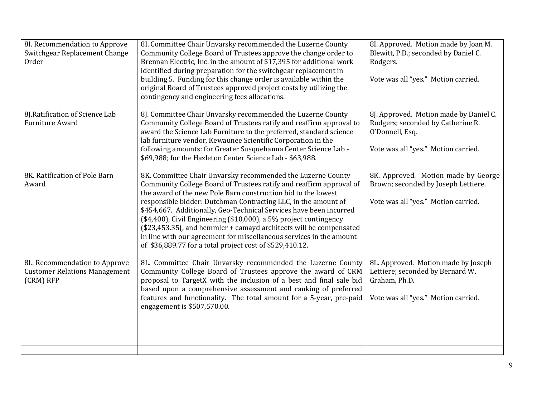| 8I. Recommendation to Approve        | 8I. Committee Chair Unvarsky recommended the Luzerne County          | 8I. Approved. Motion made by Joan M.   |
|--------------------------------------|----------------------------------------------------------------------|----------------------------------------|
| Switchgear Replacement Change        | Community College Board of Trustees approve the change order to      | Blewitt, P.D.; seconded by Daniel C.   |
| Order                                | Brennan Electric, Inc. in the amount of \$17,395 for additional work | Rodgers.                               |
|                                      | identified during preparation for the switchgear replacement in      |                                        |
|                                      | building 5. Funding for this change order is available within the    | Vote was all "yes." Motion carried.    |
|                                      | original Board of Trustees approved project costs by utilizing the   |                                        |
|                                      | contingency and engineering fees allocations.                        |                                        |
| 8J. Ratification of Science Lab      | 8J. Committee Chair Unvarsky recommended the Luzerne County          | 8J. Approved. Motion made by Daniel C. |
| <b>Furniture Award</b>               | Community College Board of Trustees ratify and reaffirm approval to  | Rodgers; seconded by Catherine R.      |
|                                      | award the Science Lab Furniture to the preferred, standard science   | O'Donnell, Esq.                        |
|                                      | lab furniture vendor, Kewaunee Scientific Corporation in the         |                                        |
|                                      | following amounts: for Greater Susquehanna Center Science Lab -      | Vote was all "yes." Motion carried.    |
|                                      | \$69,988; for the Hazleton Center Science Lab - \$63,988.            |                                        |
| 8K. Ratification of Pole Barn        | 8K. Committee Chair Unvarsky recommended the Luzerne County          | 8K. Approved. Motion made by George    |
| Award                                | Community College Board of Trustees ratify and reaffirm approval of  | Brown; seconded by Joseph Lettiere.    |
|                                      | the award of the new Pole Barn construction bid to the lowest        |                                        |
|                                      | responsible bidder: Dutchman Contracting LLC, in the amount of       | Vote was all "yes." Motion carried.    |
|                                      | \$454,667. Additionally, Geo-Technical Services have been incurred   |                                        |
|                                      | (\$4,400), Civil Engineering (\$10,000), a 5% project contingency    |                                        |
|                                      | (\$23,453.35(, and hemmler + camayd architects will be compensated   |                                        |
|                                      | in line with our agreement for miscellaneous services in the amount  |                                        |
|                                      | of \$36,889.77 for a total project cost of \$529,410.12.             |                                        |
| 8L. Recommendation to Approve        | 8L. Committee Chair Unvarsky recommended the Luzerne County          | 8L. Approved. Motion made by Joseph    |
| <b>Customer Relations Management</b> | Community College Board of Trustees approve the award of CRM         | Lettiere; seconded by Bernard W.       |
| (CRM) RFP                            | proposal to TargetX with the inclusion of a best and final sale bid  | Graham, Ph.D.                          |
|                                      | based upon a comprehensive assessment and ranking of preferred       |                                        |
|                                      | features and functionality. The total amount for a 5-year, pre-paid  | Vote was all "yes." Motion carried.    |
|                                      | engagement is \$507,570.00.                                          |                                        |
|                                      |                                                                      |                                        |
|                                      |                                                                      |                                        |
|                                      |                                                                      |                                        |
|                                      |                                                                      |                                        |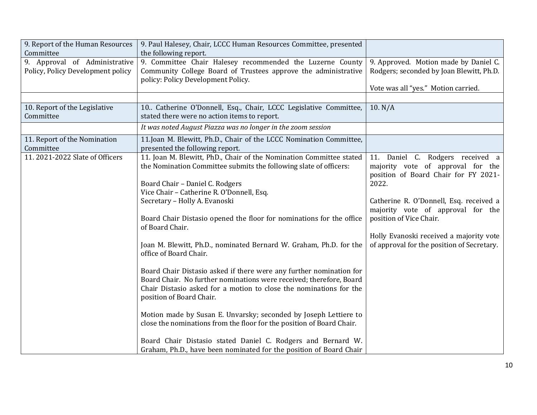| 9. Report of the Human Resources  | 9. Paul Halesey, Chair, LCCC Human Resources Committee, presented     |                                            |
|-----------------------------------|-----------------------------------------------------------------------|--------------------------------------------|
| Committee                         | the following report.                                                 |                                            |
| 9. Approval of Administrative     | 9. Committee Chair Halesey recommended the Luzerne County             | 9. Approved. Motion made by Daniel C.      |
| Policy, Policy Development policy | Community College Board of Trustees approve the administrative        | Rodgers; seconded by Joan Blewitt, Ph.D.   |
|                                   | policy: Policy Development Policy.                                    |                                            |
|                                   |                                                                       | Vote was all "yes." Motion carried.        |
|                                   |                                                                       |                                            |
| 10. Report of the Legislative     | 10. Catherine O'Donnell, Esq., Chair, LCCC Legislative Committee,     | 10. N/A                                    |
| Committee                         | stated there were no action items to report.                          |                                            |
|                                   | It was noted August Piazza was no longer in the zoom session          |                                            |
| 11. Report of the Nomination      | 11.Joan M. Blewitt, Ph.D., Chair of the LCCC Nomination Committee,    |                                            |
| Committee                         | presented the following report.                                       |                                            |
| 11.2021-2022 Slate of Officers    | 11. Joan M. Blewitt, PhD., Chair of the Nomination Committee stated   | 11. Daniel C. Rodgers received a           |
|                                   | the Nomination Committee submits the following slate of officers:     | majority vote of approval for the          |
|                                   |                                                                       | position of Board Chair for FY 2021-       |
|                                   | Board Chair - Daniel C. Rodgers                                       | 2022.                                      |
|                                   | Vice Chair - Catherine R. O'Donnell, Esq.                             |                                            |
|                                   | Secretary - Holly A. Evanoski                                         | Catherine R. O'Donnell, Esq. received a    |
|                                   |                                                                       | majority vote of approval for the          |
|                                   | Board Chair Distasio opened the floor for nominations for the office  | position of Vice Chair.                    |
|                                   | of Board Chair.                                                       |                                            |
|                                   |                                                                       | Holly Evanoski received a majority vote    |
|                                   | Joan M. Blewitt, Ph.D., nominated Bernard W. Graham, Ph.D. for the    | of approval for the position of Secretary. |
|                                   | office of Board Chair.                                                |                                            |
|                                   |                                                                       |                                            |
|                                   | Board Chair Distasio asked if there were any further nomination for   |                                            |
|                                   | Board Chair. No further nominations were received; therefore, Board   |                                            |
|                                   | Chair Distasio asked for a motion to close the nominations for the    |                                            |
|                                   | position of Board Chair.                                              |                                            |
|                                   |                                                                       |                                            |
|                                   | Motion made by Susan E. Unvarsky; seconded by Joseph Lettiere to      |                                            |
|                                   | close the nominations from the floor for the position of Board Chair. |                                            |
|                                   |                                                                       |                                            |
|                                   | Board Chair Distasio stated Daniel C. Rodgers and Bernard W.          |                                            |
|                                   | Graham, Ph.D., have been nominated for the position of Board Chair    |                                            |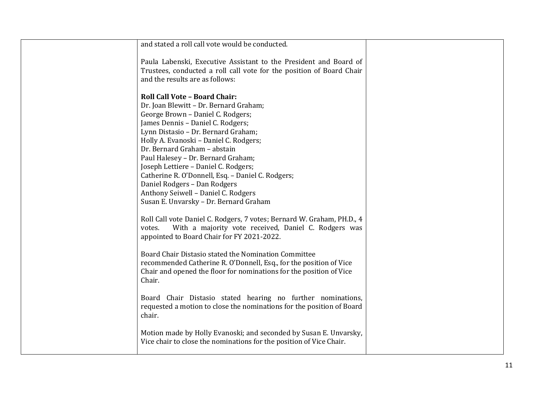| and stated a roll call vote would be conducted.                                                                                                                                                                                                                                                                                                                                                                                                                                     |  |
|-------------------------------------------------------------------------------------------------------------------------------------------------------------------------------------------------------------------------------------------------------------------------------------------------------------------------------------------------------------------------------------------------------------------------------------------------------------------------------------|--|
| Paula Labenski, Executive Assistant to the President and Board of<br>Trustees, conducted a roll call vote for the position of Board Chair<br>and the results are as follows:                                                                                                                                                                                                                                                                                                        |  |
| <b>Roll Call Vote - Board Chair:</b><br>Dr. Joan Blewitt - Dr. Bernard Graham;<br>George Brown - Daniel C. Rodgers;<br>James Dennis - Daniel C. Rodgers;<br>Lynn Distasio - Dr. Bernard Graham;<br>Holly A. Evanoski - Daniel C. Rodgers;<br>Dr. Bernard Graham - abstain<br>Paul Halesey - Dr. Bernard Graham;<br>Joseph Lettiere - Daniel C. Rodgers;<br>Catherine R. O'Donnell, Esq. - Daniel C. Rodgers;<br>Daniel Rodgers - Dan Rodgers<br>Anthony Seiwell - Daniel C. Rodgers |  |
| Susan E. Unvarsky - Dr. Bernard Graham<br>Roll Call vote Daniel C. Rodgers, 7 votes; Bernard W. Graham, PH.D., 4<br>With a majority vote received, Daniel C. Rodgers was<br>votes.<br>appointed to Board Chair for FY 2021-2022.                                                                                                                                                                                                                                                    |  |
| Board Chair Distasio stated the Nomination Committee<br>recommended Catherine R. O'Donnell, Esq., for the position of Vice<br>Chair and opened the floor for nominations for the position of Vice<br>Chair.                                                                                                                                                                                                                                                                         |  |
| Board Chair Distasio stated hearing no further nominations,<br>requested a motion to close the nominations for the position of Board<br>chair.                                                                                                                                                                                                                                                                                                                                      |  |
| Motion made by Holly Evanoski; and seconded by Susan E. Unvarsky,<br>Vice chair to close the nominations for the position of Vice Chair.                                                                                                                                                                                                                                                                                                                                            |  |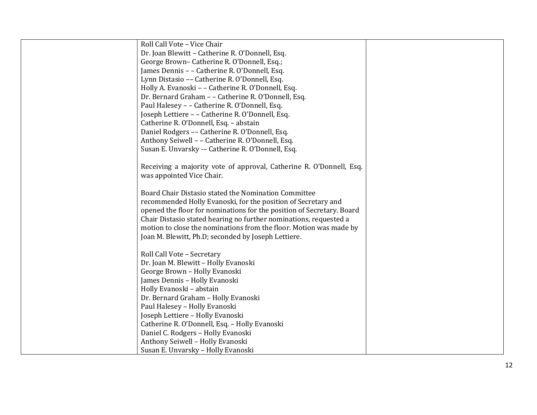| Roll Call Vote - Vice Chair                                           |  |
|-----------------------------------------------------------------------|--|
| Dr. Joan Blewitt - Catherine R. O'Donnell, Esq.                       |  |
| George Brown-Catherine R. O'Donnell, Esq.;                            |  |
| James Dennis - - Catherine R. O'Donnell, Esq.                         |  |
| Lynn Distasio -- Catherine R. O'Donnell, Esq.                         |  |
| Holly A. Evanoski - - Catherine R. O'Donnell, Esq.                    |  |
| Dr. Bernard Graham - - Catherine R. O'Donnell, Esq.                   |  |
| Paul Halesey - - Catherine R. O'Donnell, Esq.                         |  |
| Joseph Lettiere - - Catherine R. O'Donnell, Esq.                      |  |
| Catherine R. O'Donnell, Esq. - abstain                                |  |
| Daniel Rodgers -- Catherine R. O'Donnell, Esq.                        |  |
| Anthony Seiwell - - Catherine R. O'Donnell, Esq.                      |  |
| Susan E. Unvarsky -- Catherine R. O'Donnell, Esq.                     |  |
|                                                                       |  |
| Receiving a majority vote of approval, Catherine R. O'Donnell, Esq.   |  |
| was appointed Vice Chair.                                             |  |
|                                                                       |  |
| Board Chair Distasio stated the Nomination Committee                  |  |
| recommended Holly Evanoski, for the position of Secretary and         |  |
| opened the floor for nominations for the position of Secretary. Board |  |
| Chair Distasio stated hearing no further nominations, requested a     |  |
| motion to close the nominations from the floor. Motion was made by    |  |
| Joan M. Blewitt, Ph.D; seconded by Joseph Lettiere.                   |  |
|                                                                       |  |
| Roll Call Vote - Secretary                                            |  |
| Dr. Joan M. Blewitt - Holly Evanoski                                  |  |
| George Brown - Holly Evanoski                                         |  |
| James Dennis - Holly Evanoski                                         |  |
| Holly Evanoski - abstain                                              |  |
| Dr. Bernard Graham - Holly Evanoski                                   |  |
| Paul Halesey - Holly Evanoski                                         |  |
| Joseph Lettiere - Holly Evanoski                                      |  |
| Catherine R. O'Donnell, Esq. - Holly Evanoski                         |  |
| Daniel C. Rodgers - Holly Evanoski                                    |  |
| Anthony Seiwell - Holly Evanoski                                      |  |
| Susan E. Unvarsky - Holly Evanoski                                    |  |